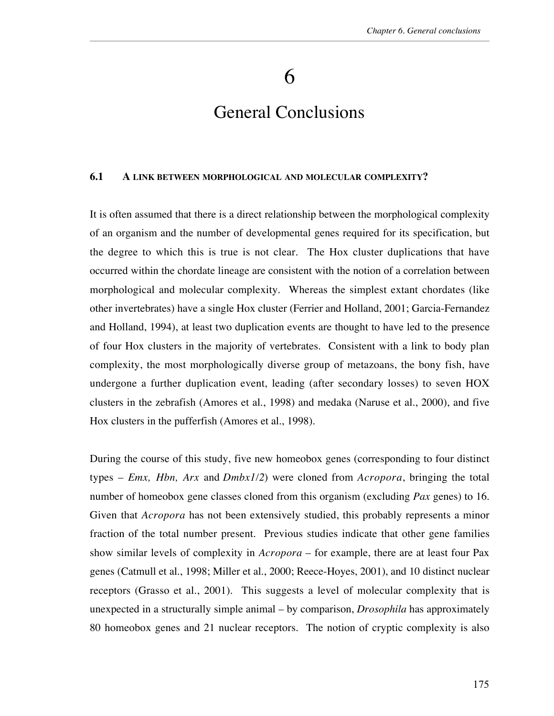## 6

# General Conclusions

#### **6.1 A LINK BETWEEN MORPHOLOGICAL AND MOLECULAR COMPLEXITY?**

It is often assumed that there is a direct relationship between the morphological complexity of an organism and the number of developmental genes required for its specification, but the degree to which this is true is not clear. The Hox cluster duplications that have occurred within the chordate lineage are consistent with the notion of a correlation between morphological and molecular complexity. Whereas the simplest extant chordates (like other invertebrates) have a single Hox cluster (Ferrier and Holland, 2001; Garcia-Fernandez and Holland, 1994), at least two duplication events are thought to have led to the presence of four Hox clusters in the majority of vertebrates. Consistent with a link to body plan complexity, the most morphologically diverse group of metazoans, the bony fish, have undergone a further duplication event, leading (after secondary losses) to seven HOX clusters in the zebrafish (Amores et al., 1998) and medaka (Naruse et al., 2000), and five Hox clusters in the pufferfish (Amores et al., 1998).

During the course of this study, five new homeobox genes (corresponding to four distinct types – *Emx, Hbn, Arx* and *Dmbx1/2*) were cloned from *Acropora*, bringing the total number of homeobox gene classes cloned from this organism (excluding *Pax* genes) to 16. Given that *Acropora* has not been extensively studied, this probably represents a minor fraction of the total number present. Previous studies indicate that other gene families show similar levels of complexity in *Acropora* – for example, there are at least four Pax genes (Catmull et al., 1998; Miller et al., 2000; Reece-Hoyes, 2001), and 10 distinct nuclear receptors (Grasso et al., 2001). This suggests a level of molecular complexity that is unexpected in a structurally simple animal – by comparison, *Drosophila* has approximately 80 homeobox genes and 21 nuclear receptors. The notion of cryptic complexity is also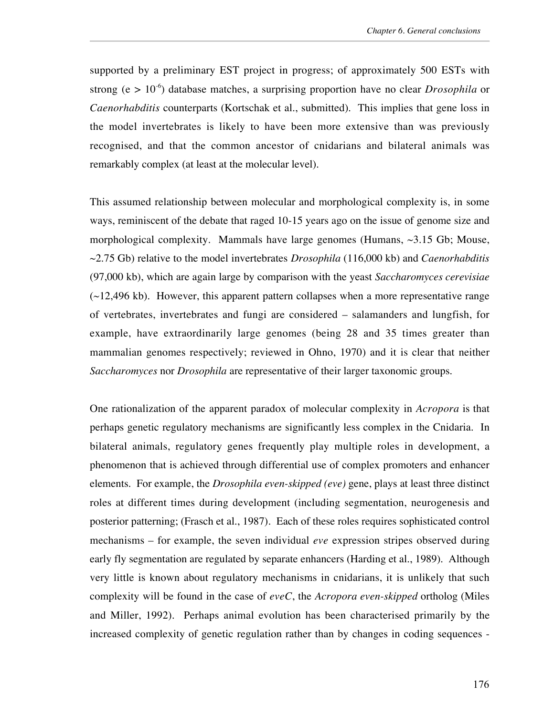supported by a preliminary EST project in progress; of approximately 500 ESTs with strong ( $e > 10^{-6}$ ) database matches, a surprising proportion have no clear *Drosophila* or *Caenorhabditis* counterparts (Kortschak et al., submitted). This implies that gene loss in the model invertebrates is likely to have been more extensive than was previously recognised, and that the common ancestor of cnidarians and bilateral animals was remarkably complex (at least at the molecular level).

This assumed relationship between molecular and morphological complexity is, in some ways, reminiscent of the debate that raged 10-15 years ago on the issue of genome size and morphological complexity. Mammals have large genomes (Humans, ~3.15 Gb; Mouse, ~2.75 Gb) relative to the model invertebrates *Drosophila* (116,000 kb) and *Caenorhabditis* (97,000 kb), which are again large by comparison with the yeast *Saccharomyces cerevisiae*  $(\sim$ 12,496 kb). However, this apparent pattern collapses when a more representative range of vertebrates, invertebrates and fungi are considered – salamanders and lungfish, for example, have extraordinarily large genomes (being 28 and 35 times greater than mammalian genomes respectively; reviewed in Ohno, 1970) and it is clear that neither *Saccharomyces* nor *Drosophila* are representative of their larger taxonomic groups.

One rationalization of the apparent paradox of molecular complexity in *Acropora* is that perhaps genetic regulatory mechanisms are significantly less complex in the Cnidaria. In bilateral animals, regulatory genes frequently play multiple roles in development, a phenomenon that is achieved through differential use of complex promoters and enhancer elements. For example, the *Drosophila even-skipped (eve)* gene, plays at least three distinct roles at different times during development (including segmentation, neurogenesis and posterior patterning; (Frasch et al., 1987). Each of these roles requires sophisticated control mechanisms – for example, the seven individual *eve* expression stripes observed during early fly segmentation are regulated by separate enhancers (Harding et al., 1989). Although very little is known about regulatory mechanisms in cnidarians, it is unlikely that such complexity will be found in the case of *eveC*, the *Acropora even-skipped* ortholog (Miles and Miller, 1992). Perhaps animal evolution has been characterised primarily by the increased complexity of genetic regulation rather than by changes in coding sequences -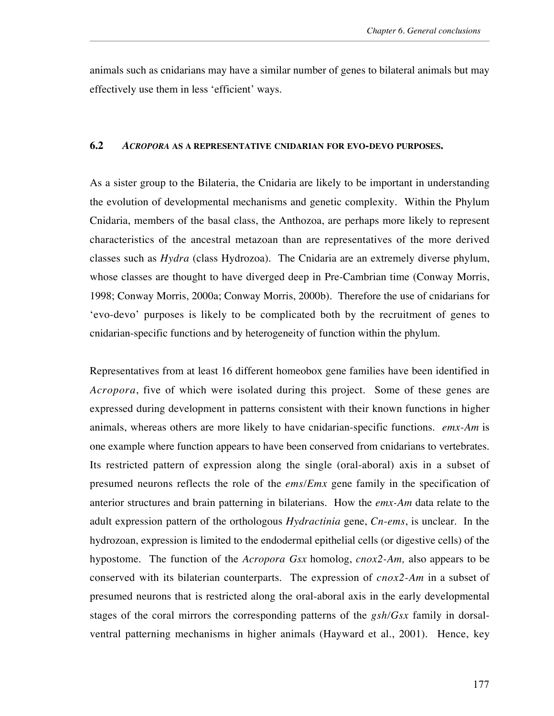animals such as cnidarians may have a similar number of genes to bilateral animals but may effectively use them in less 'efficient' ways.

#### **6.2** *ACROPORA* **AS A REPRESENTATIVE CNIDARIAN FOR EVO-DEVO PURPOSES.**

As a sister group to the Bilateria, the Cnidaria are likely to be important in understanding the evolution of developmental mechanisms and genetic complexity. Within the Phylum Cnidaria, members of the basal class, the Anthozoa, are perhaps more likely to represent characteristics of the ancestral metazoan than are representatives of the more derived classes such as *Hydra* (class Hydrozoa). The Cnidaria are an extremely diverse phylum, whose classes are thought to have diverged deep in Pre-Cambrian time (Conway Morris, 1998; Conway Morris, 2000a; Conway Morris, 2000b). Therefore the use of cnidarians for 'evo-devo' purposes is likely to be complicated both by the recruitment of genes to cnidarian-specific functions and by heterogeneity of function within the phylum.

Representatives from at least 16 different homeobox gene families have been identified in *Acropora*, five of which were isolated during this project. Some of these genes are expressed during development in patterns consistent with their known functions in higher animals, whereas others are more likely to have cnidarian-specific functions. *emx-Am* is one example where function appears to have been conserved from cnidarians to vertebrates. Its restricted pattern of expression along the single (oral-aboral) axis in a subset of presumed neurons reflects the role of the *ems/Emx* gene family in the specification of anterior structures and brain patterning in bilaterians. How the *emx-Am* data relate to the adult expression pattern of the orthologous *Hydractinia* gene, *Cn-ems*, is unclear. In the hydrozoan, expression is limited to the endodermal epithelial cells (or digestive cells) of the hypostome. The function of the *Acropora Gsx* homolog, *cnox2-Am,* also appears to be conserved with its bilaterian counterparts. The expression of *cnox2-Am* in a subset of presumed neurons that is restricted along the oral-aboral axis in the early developmental stages of the coral mirrors the corresponding patterns of the *gsh/Gsx* family in dorsalventral patterning mechanisms in higher animals (Hayward et al., 2001). Hence, key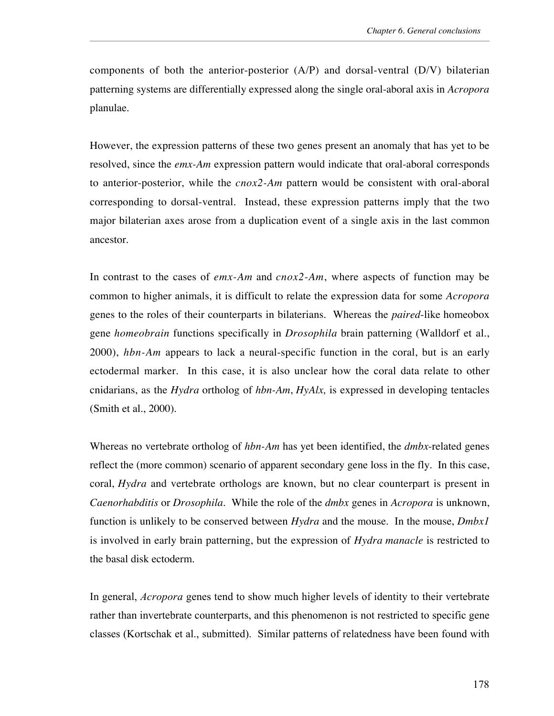components of both the anterior-posterior (A/P) and dorsal-ventral (D/V) bilaterian patterning systems are differentially expressed along the single oral-aboral axis in *Acropora* planulae.

However, the expression patterns of these two genes present an anomaly that has yet to be resolved, since the *emx-Am* expression pattern would indicate that oral-aboral corresponds to anterior-posterior, while the *cnox2-Am* pattern would be consistent with oral-aboral corresponding to dorsal-ventral. Instead, these expression patterns imply that the two major bilaterian axes arose from a duplication event of a single axis in the last common ancestor.

In contrast to the cases of *emx-Am* and *cnox2-Am*, where aspects of function may be common to higher animals, it is difficult to relate the expression data for some *Acropora* genes to the roles of their counterparts in bilaterians. Whereas the *paired*-like homeobox gene *homeobrain* functions specifically in *Drosophila* brain patterning (Walldorf et al., 2000), *hbn-Am* appears to lack a neural-specific function in the coral, but is an early ectodermal marker. In this case, it is also unclear how the coral data relate to other cnidarians, as the *Hydra* ortholog of *hbn-Am*, *HyAlx,* is expressed in developing tentacles (Smith et al., 2000).

Whereas no vertebrate ortholog of *hbn-Am* has yet been identified, the *dmbx*-related genes reflect the (more common) scenario of apparent secondary gene loss in the fly. In this case, coral, *Hydra* and vertebrate orthologs are known, but no clear counterpart is present in *Caenorhabditis* or *Drosophila*. While the role of the *dmbx* genes in *Acropora* is unknown, function is unlikely to be conserved between *Hydra* and the mouse. In the mouse, *Dmbx1* is involved in early brain patterning, but the expression of *Hydra manacle* is restricted to the basal disk ectoderm.

In general, *Acropora* genes tend to show much higher levels of identity to their vertebrate rather than invertebrate counterparts, and this phenomenon is not restricted to specific gene classes (Kortschak et al., submitted). Similar patterns of relatedness have been found with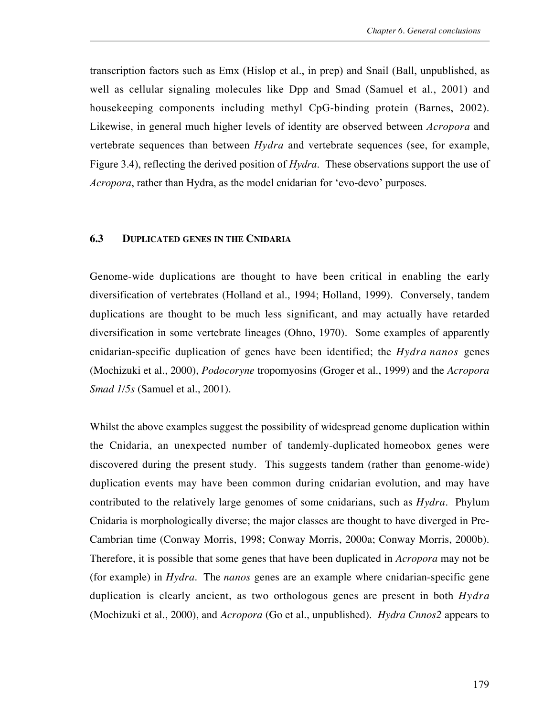transcription factors such as Emx (Hislop et al., in prep) and Snail (Ball, unpublished, as well as cellular signaling molecules like Dpp and Smad (Samuel et al., 2001) and housekeeping components including methyl CpG-binding protein (Barnes, 2002). Likewise, in general much higher levels of identity are observed between *Acropora* and vertebrate sequences than between *Hydra* and vertebrate sequences (see, for example, Figure 3.4), reflecting the derived position of *Hydra*. These observations support the use of *Acropora*, rather than Hydra, as the model cnidarian for 'evo-devo' purposes.

### **6.3 DUPLICATED GENES IN THE CNIDARIA**

Genome-wide duplications are thought to have been critical in enabling the early diversification of vertebrates (Holland et al., 1994; Holland, 1999). Conversely, tandem duplications are thought to be much less significant, and may actually have retarded diversification in some vertebrate lineages (Ohno, 1970). Some examples of apparently cnidarian-specific duplication of genes have been identified; the *Hydra nanos* genes (Mochizuki et al., 2000), *Podocoryne* tropomyosins (Groger et al., 1999) and the *Acropora Smad 1/5s* (Samuel et al., 2001).

Whilst the above examples suggest the possibility of widespread genome duplication within the Cnidaria, an unexpected number of tandemly-duplicated homeobox genes were discovered during the present study. This suggests tandem (rather than genome-wide) duplication events may have been common during cnidarian evolution, and may have contributed to the relatively large genomes of some cnidarians, such as *Hydra*. Phylum Cnidaria is morphologically diverse; the major classes are thought to have diverged in Pre-Cambrian time (Conway Morris, 1998; Conway Morris, 2000a; Conway Morris, 2000b). Therefore, it is possible that some genes that have been duplicated in *Acropora* may not be (for example) in *Hydra*. The *nanos* genes are an example where cnidarian-specific gene duplication is clearly ancient, as two orthologous genes are present in both *Hydra* (Mochizuki et al., 2000), and *Acropora* (Go et al., unpublished). *Hydra Cnnos2* appears to